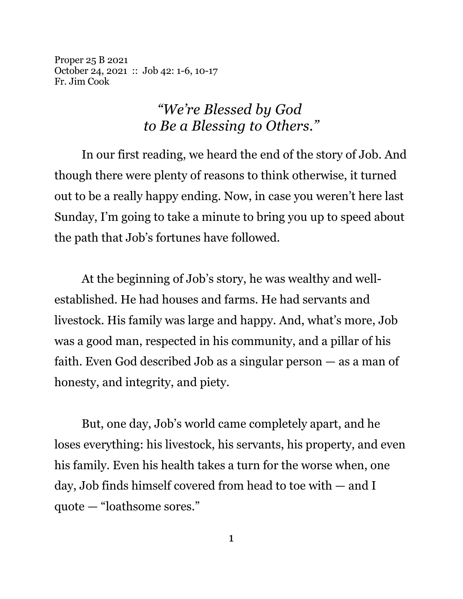Proper 25 B 2021 October 24, 2021 :: Job 42: 1-6, 10-17 Fr. Jim Cook

## *"We're Blessed by God to Be a Blessing to Others."*

In our first reading, we heard the end of the story of Job. And though there were plenty of reasons to think otherwise, it turned out to be a really happy ending. Now, in case you weren't here last Sunday, I'm going to take a minute to bring you up to speed about the path that Job's fortunes have followed.

At the beginning of Job's story, he was wealthy and wellestablished. He had houses and farms. He had servants and livestock. His family was large and happy. And, what's more, Job was a good man, respected in his community, and a pillar of his faith. Even God described Job as a singular person — as a man of honesty, and integrity, and piety.

But, one day, Job's world came completely apart, and he loses everything: his livestock, his servants, his property, and even his family. Even his health takes a turn for the worse when, one day, Job finds himself covered from head to toe with — and I quote — "loathsome sores."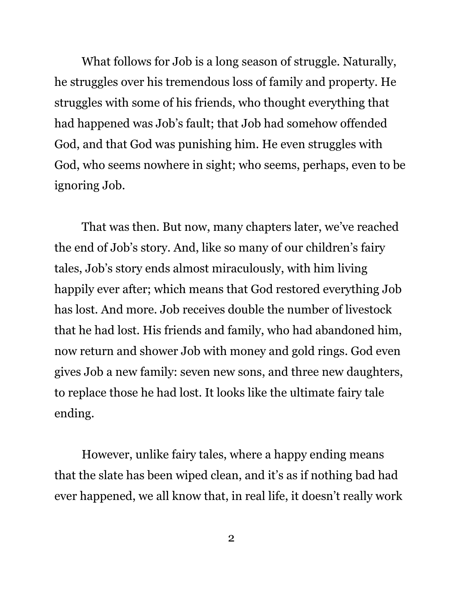What follows for Job is a long season of struggle. Naturally, he struggles over his tremendous loss of family and property. He struggles with some of his friends, who thought everything that had happened was Job's fault; that Job had somehow offended God, and that God was punishing him. He even struggles with God, who seems nowhere in sight; who seems, perhaps, even to be ignoring Job.

That was then. But now, many chapters later, we've reached the end of Job's story. And, like so many of our children's fairy tales, Job's story ends almost miraculously, with him living happily ever after; which means that God restored everything Job has lost. And more. Job receives double the number of livestock that he had lost. His friends and family, who had abandoned him, now return and shower Job with money and gold rings. God even gives Job a new family: seven new sons, and three new daughters, to replace those he had lost. It looks like the ultimate fairy tale ending.

However, unlike fairy tales, where a happy ending means that the slate has been wiped clean, and it's as if nothing bad had ever happened, we all know that, in real life, it doesn't really work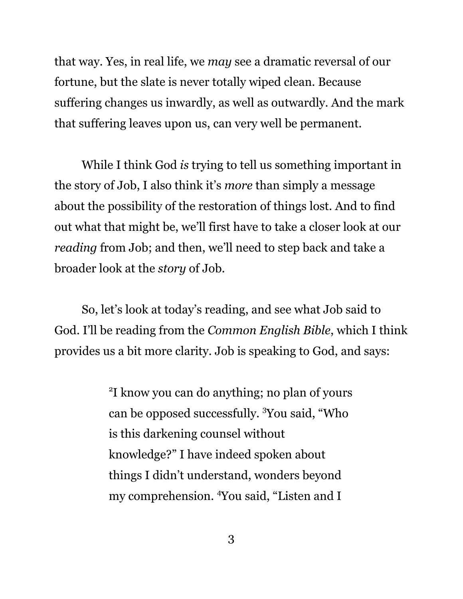that way. Yes, in real life, we *may* see a dramatic reversal of our fortune, but the slate is never totally wiped clean. Because suffering changes us inwardly, as well as outwardly. And the mark that suffering leaves upon us, can very well be permanent.

While I think God *is* trying to tell us something important in the story of Job, I also think it's *more* than simply a message about the possibility of the restoration of things lost. And to find out what that might be, we'll first have to take a closer look at our *reading* from Job; and then, we'll need to step back and take a broader look at the *story* of Job.

So, let's look at today's reading, and see what Job said to God. I'll be reading from the *Common English Bible*, which I think provides us a bit more clarity. Job is speaking to God, and says:

> 2 I know you can do anything; no plan of yours can be opposed successfully. <sup>3</sup>You said, "Who is this darkening counsel without knowledge?" I have indeed spoken about things I didn't understand, wonders beyond my comprehension. <sup>4</sup>You said, "Listen and I

> > 3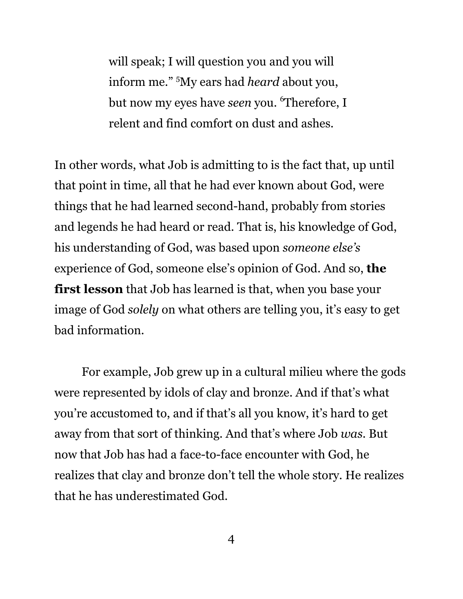will speak; I will question you and you will inform me." <sup>5</sup>My ears had *heard* about you, but now my eyes have *seen* you. <sup>6</sup>Therefore, I relent and find comfort on dust and ashes.

In other words, what Job is admitting to is the fact that, up until that point in time, all that he had ever known about God, were things that he had learned second-hand, probably from stories and legends he had heard or read. That is, his knowledge of God, his understanding of God, was based upon *someone else's* experience of God, someone else's opinion of God. And so, **the first lesson** that Job has learned is that, when you base your image of God *solely* on what others are telling you, it's easy to get bad information.

For example, Job grew up in a cultural milieu where the gods were represented by idols of clay and bronze. And if that's what you're accustomed to, and if that's all you know, it's hard to get away from that sort of thinking. And that's where Job *was*. But now that Job has had a face-to-face encounter with God, he realizes that clay and bronze don't tell the whole story. He realizes that he has underestimated God.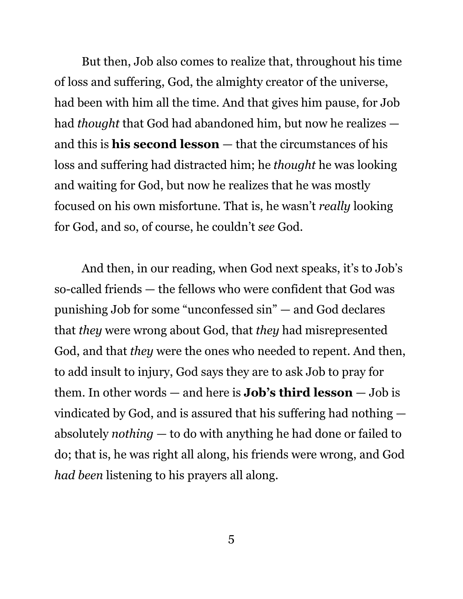But then, Job also comes to realize that, throughout his time of loss and suffering, God, the almighty creator of the universe, had been with him all the time. And that gives him pause, for Job had *thought* that God had abandoned him, but now he realizes and this is **his second lesson** — that the circumstances of his loss and suffering had distracted him; he *thought* he was looking and waiting for God, but now he realizes that he was mostly focused on his own misfortune. That is, he wasn't *really* looking for God, and so, of course, he couldn't *see* God.

And then, in our reading, when God next speaks, it's to Job's so-called friends — the fellows who were confident that God was punishing Job for some "unconfessed sin" — and God declares that *they* were wrong about God, that *they* had misrepresented God, and that *they* were the ones who needed to repent. And then, to add insult to injury, God says they are to ask Job to pray for them. In other words — and here is **Job's third lesson** — Job is vindicated by God, and is assured that his suffering had nothing absolutely *nothing* — to do with anything he had done or failed to do; that is, he was right all along, his friends were wrong, and God *had been* listening to his prayers all along.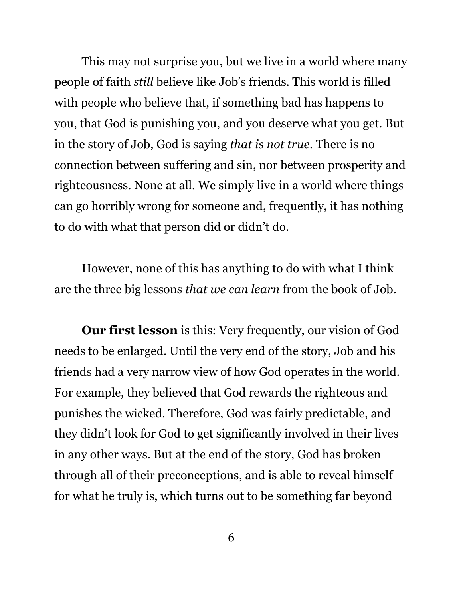This may not surprise you, but we live in a world where many people of faith *still* believe like Job's friends. This world is filled with people who believe that, if something bad has happens to you, that God is punishing you, and you deserve what you get. But in the story of Job, God is saying *that is not true*. There is no connection between suffering and sin, nor between prosperity and righteousness. None at all. We simply live in a world where things can go horribly wrong for someone and, frequently, it has nothing to do with what that person did or didn't do.

However, none of this has anything to do with what I think are the three big lessons *that we can learn* from the book of Job.

**Our first lesson** is this: Very frequently, our vision of God needs to be enlarged. Until the very end of the story, Job and his friends had a very narrow view of how God operates in the world. For example, they believed that God rewards the righteous and punishes the wicked. Therefore, God was fairly predictable, and they didn't look for God to get significantly involved in their lives in any other ways. But at the end of the story, God has broken through all of their preconceptions, and is able to reveal himself for what he truly is, which turns out to be something far beyond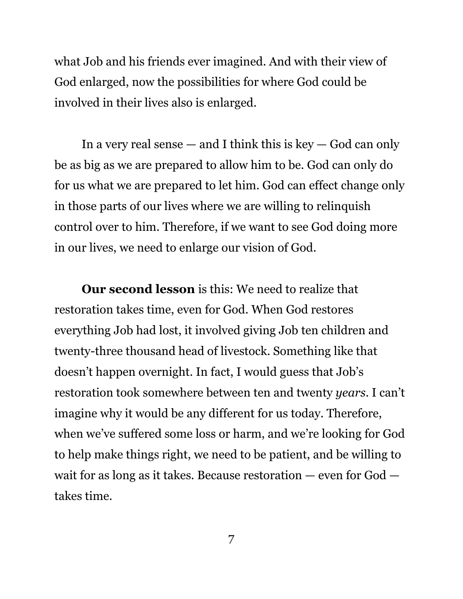what Job and his friends ever imagined. And with their view of God enlarged, now the possibilities for where God could be involved in their lives also is enlarged.

In a very real sense  $-$  and I think this is key  $-$  God can only be as big as we are prepared to allow him to be. God can only do for us what we are prepared to let him. God can effect change only in those parts of our lives where we are willing to relinquish control over to him. Therefore, if we want to see God doing more in our lives, we need to enlarge our vision of God.

**Our second lesson** is this: We need to realize that restoration takes time, even for God. When God restores everything Job had lost, it involved giving Job ten children and twenty-three thousand head of livestock. Something like that doesn't happen overnight. In fact, I would guess that Job's restoration took somewhere between ten and twenty *years*. I can't imagine why it would be any different for us today. Therefore, when we've suffered some loss or harm, and we're looking for God to help make things right, we need to be patient, and be willing to wait for as long as it takes. Because restoration — even for God takes time.

7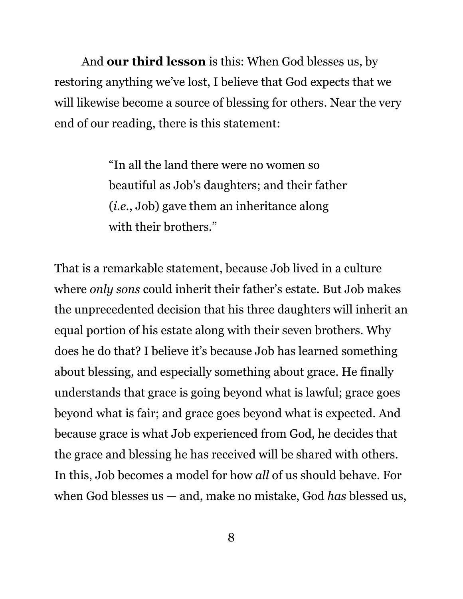And **our third lesson** is this: When God blesses us, by restoring anything we've lost, I believe that God expects that we will likewise become a source of blessing for others. Near the very end of our reading, there is this statement:

> "In all the land there were no women so beautiful as Job's daughters; and their father (*i.e.*, Job) gave them an inheritance along with their brothers."

That is a remarkable statement, because Job lived in a culture where *only sons* could inherit their father's estate. But Job makes the unprecedented decision that his three daughters will inherit an equal portion of his estate along with their seven brothers. Why does he do that? I believe it's because Job has learned something about blessing, and especially something about grace. He finally understands that grace is going beyond what is lawful; grace goes beyond what is fair; and grace goes beyond what is expected. And because grace is what Job experienced from God, he decides that the grace and blessing he has received will be shared with others. In this, Job becomes a model for how *all* of us should behave. For when God blesses us — and, make no mistake, God *has* blessed us,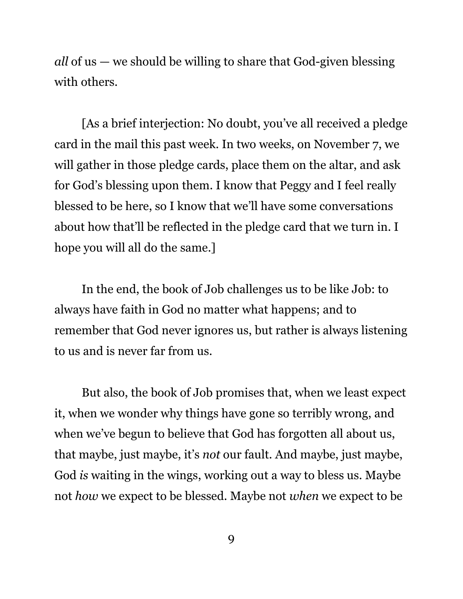*all* of us — we should be willing to share that God-given blessing with others.

[As a brief interjection: No doubt, you've all received a pledge card in the mail this past week. In two weeks, on November 7, we will gather in those pledge cards, place them on the altar, and ask for God's blessing upon them. I know that Peggy and I feel really blessed to be here, so I know that we'll have some conversations about how that'll be reflected in the pledge card that we turn in. I hope you will all do the same.]

In the end, the book of Job challenges us to be like Job: to always have faith in God no matter what happens; and to remember that God never ignores us, but rather is always listening to us and is never far from us.

But also, the book of Job promises that, when we least expect it, when we wonder why things have gone so terribly wrong, and when we've begun to believe that God has forgotten all about us, that maybe, just maybe, it's *not* our fault. And maybe, just maybe, God *is* waiting in the wings, working out a way to bless us. Maybe not *how* we expect to be blessed. Maybe not *when* we expect to be

9